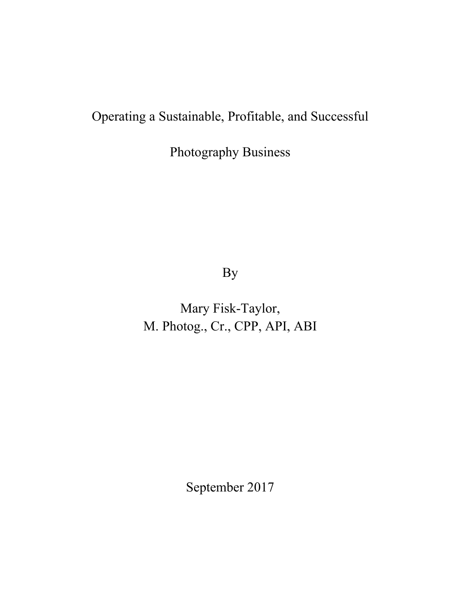# Operating a Sustainable, Profitable, and Successful

Photography Business

By

Mary Fisk-Taylor, M. Photog., Cr., CPP, API, ABI

September 2017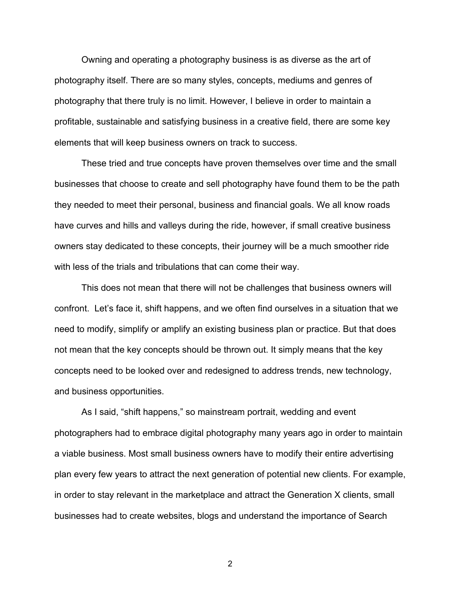Owning and operating a photography business is as diverse as the art of photography itself. There are so many styles, concepts, mediums and genres of photography that there truly is no limit. However, I believe in order to maintain a profitable, sustainable and satisfying business in a creative field, there are some key elements that will keep business owners on track to success.

These tried and true concepts have proven themselves over time and the small businesses that choose to create and sell photography have found them to be the path they needed to meet their personal, business and financial goals. We all know roads have curves and hills and valleys during the ride, however, if small creative business owners stay dedicated to these concepts, their journey will be a much smoother ride with less of the trials and tribulations that can come their way.

This does not mean that there will not be challenges that business owners will confront. Let's face it, shift happens, and we often find ourselves in a situation that we need to modify, simplify or amplify an existing business plan or practice. But that does not mean that the key concepts should be thrown out. It simply means that the key concepts need to be looked over and redesigned to address trends, new technology, and business opportunities.

As I said, "shift happens," so mainstream portrait, wedding and event photographers had to embrace digital photography many years ago in order to maintain a viable business. Most small business owners have to modify their entire advertising plan every few years to attract the next generation of potential new clients. For example, in order to stay relevant in the marketplace and attract the Generation X clients, small businesses had to create websites, blogs and understand the importance of Search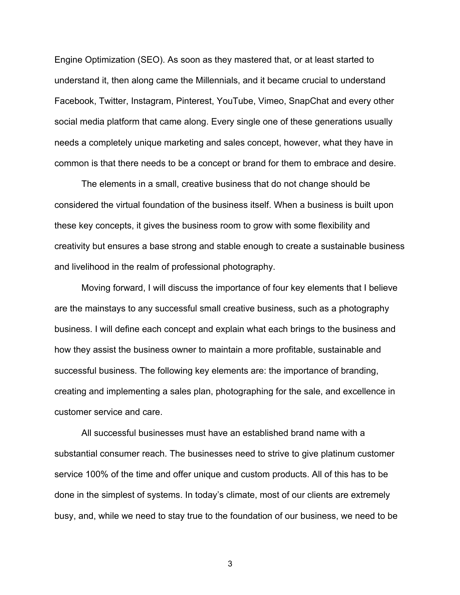Engine Optimization (SEO). As soon as they mastered that, or at least started to understand it, then along came the Millennials, and it became crucial to understand Facebook, Twitter, Instagram, Pinterest, YouTube, Vimeo, SnapChat and every other social media platform that came along. Every single one of these generations usually needs a completely unique marketing and sales concept, however, what they have in common is that there needs to be a concept or brand for them to embrace and desire.

The elements in a small, creative business that do not change should be considered the virtual foundation of the business itself. When a business is built upon these key concepts, it gives the business room to grow with some flexibility and creativity but ensures a base strong and stable enough to create a sustainable business and livelihood in the realm of professional photography.

Moving forward, I will discuss the importance of four key elements that I believe are the mainstays to any successful small creative business, such as a photography business. I will define each concept and explain what each brings to the business and how they assist the business owner to maintain a more profitable, sustainable and successful business. The following key elements are: the importance of branding, creating and implementing a sales plan, photographing for the sale, and excellence in customer service and care.

All successful businesses must have an established brand name with a substantial consumer reach. The businesses need to strive to give platinum customer service 100% of the time and offer unique and custom products. All of this has to be done in the simplest of systems. In today's climate, most of our clients are extremely busy, and, while we need to stay true to the foundation of our business, we need to be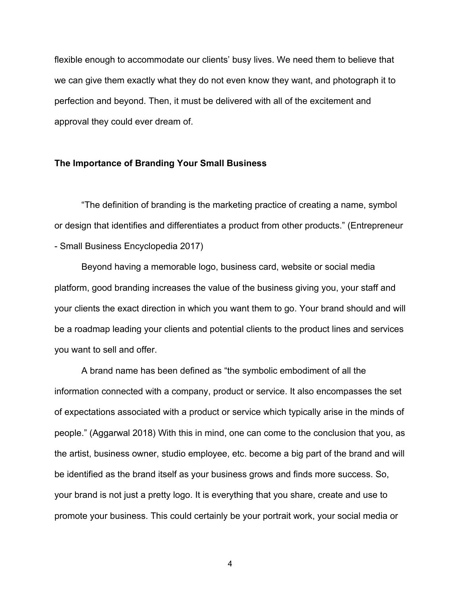flexible enough to accommodate our clients' busy lives. We need them to believe that we can give them exactly what they do not even know they want, and photograph it to perfection and beyond. Then, it must be delivered with all of the excitement and approval they could ever dream of.

#### **The Importance of Branding Your Small Business**

"The definition of branding is the marketing practice of creating a name, symbol or design that identifies and differentiates a product from other products." (Entrepreneur - Small Business Encyclopedia 2017)

Beyond having a memorable logo, business card, website or social media platform, good branding increases the value of the business giving you, your staff and your clients the exact direction in which you want them to go. Your brand should and will be a roadmap leading your clients and potential clients to the product lines and services you want to sell and offer.

A brand name has been defined as "the symbolic embodiment of all the information connected with a company, product or service. It also encompasses the set of expectations associated with a product or service which typically arise in the minds of people." (Aggarwal 2018) With this in mind, one can come to the conclusion that you, as the artist, business owner, studio employee, etc. become a big part of the brand and will be identified as the brand itself as your business grows and finds more success. So, your brand is not just a pretty logo. It is everything that you share, create and use to promote your business. This could certainly be your portrait work, your social media or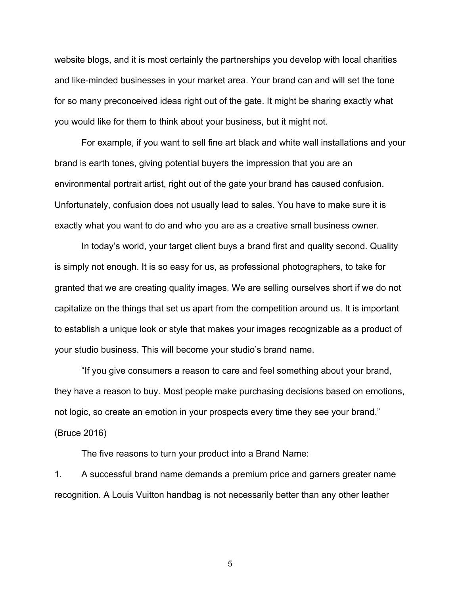website blogs, and it is most certainly the partnerships you develop with local charities and like-minded businesses in your market area. Your brand can and will set the tone for so many preconceived ideas right out of the gate. It might be sharing exactly what you would like for them to think about your business, but it might not.

For example, if you want to sell fine art black and white wall installations and your brand is earth tones, giving potential buyers the impression that you are an environmental portrait artist, right out of the gate your brand has caused confusion. Unfortunately, confusion does not usually lead to sales. You have to make sure it is exactly what you want to do and who you are as a creative small business owner.

In today's world, your target client buys a brand first and quality second. Quality is simply not enough. It is so easy for us, as professional photographers, to take for granted that we are creating quality images. We are selling ourselves short if we do not capitalize on the things that set us apart from the competition around us. It is important to establish a unique look or style that makes your images recognizable as a product of your studio business. This will become your studio's brand name.

"If you give consumers a reason to care and feel something about your brand, they have a reason to buy. Most people make purchasing decisions based on emotions, not logic, so create an emotion in your prospects every time they see your brand." (Bruce 2016)

The five reasons to turn your product into a Brand Name:

1. A successful brand name demands a premium price and garners greater name recognition. A Louis Vuitton handbag is not necessarily better than any other leather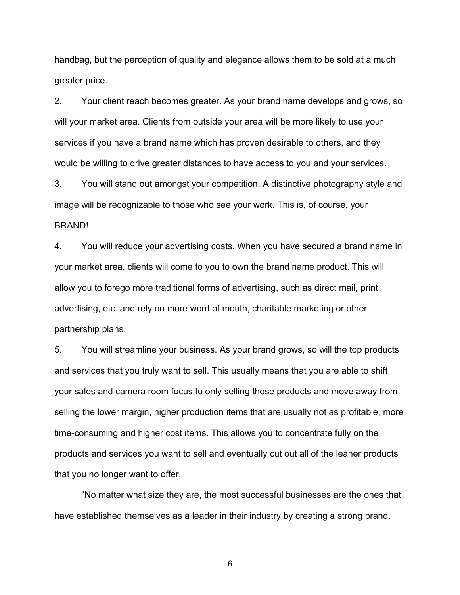handbag, but the perception of quality and elegance allows them to be sold at a much greater price.

2. Your client reach becomes greater. As your brand name develops and grows, so will your market area. Clients from outside your area will be more likely to use your services if you have a brand name which has proven desirable to others, and they would be willing to drive greater distances to have access to you and your services.

3. You will stand out amongst your competition. A distinctive photography style and image will be recognizable to those who see your work. This is, of course, your BRAND!

4. You will reduce your advertising costs. When you have secured a brand name in your market area, clients will come to you to own the brand name product. This will allow you to forego more traditional forms of advertising, such as direct mail, print advertising, etc. and rely on more word of mouth, charitable marketing or other partnership plans.

5. You will streamline your business. As your brand grows, so will the top products and services that you truly want to sell. This usually means that you are able to shift your sales and camera room focus to only selling those products and move away from selling the lower margin, higher production items that are usually not as profitable, more time-consuming and higher cost items. This allows you to concentrate fully on the products and services you want to sell and eventually cut out all of the leaner products that you no longer want to offer.

"No matter what size they are, the most successful businesses are the ones that have established themselves as a leader in their industry by creating a strong brand.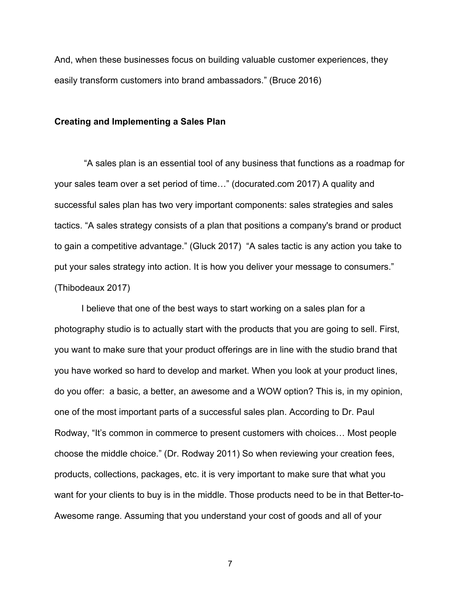And, when these businesses focus on building valuable customer experiences, they easily transform customers into brand ambassadors." (Bruce 2016)

#### **Creating and Implementing a Sales Plan**

"A sales plan is an essential tool of any business that functions as a roadmap for your sales team over a set period of time…" (docurated.com 2017) A quality and successful sales plan has two very important components: sales strategies and sales tactics. "A sales strategy consists of a plan that positions a company's brand or product to gain a competitive advantage." (Gluck 2017) "A sales tactic is any action you take to put your sales strategy into action. It is how you deliver your message to consumers." (Thibodeaux 2017)

I believe that one of the best ways to start working on a sales plan for a photography studio is to actually start with the products that you are going to sell. First, you want to make sure that your product offerings are in line with the studio brand that you have worked so hard to develop and market. When you look at your product lines, do you offer: a basic, a better, an awesome and a WOW option? This is, in my opinion, one of the most important parts of a successful sales plan. According to Dr. Paul Rodway, "It's common in commerce to present customers with choices… Most people choose the middle choice." (Dr. Rodway 2011) So when reviewing your creation fees, products, collections, packages, etc. it is very important to make sure that what you want for your clients to buy is in the middle. Those products need to be in that Better-to-Awesome range. Assuming that you understand your cost of goods and all of your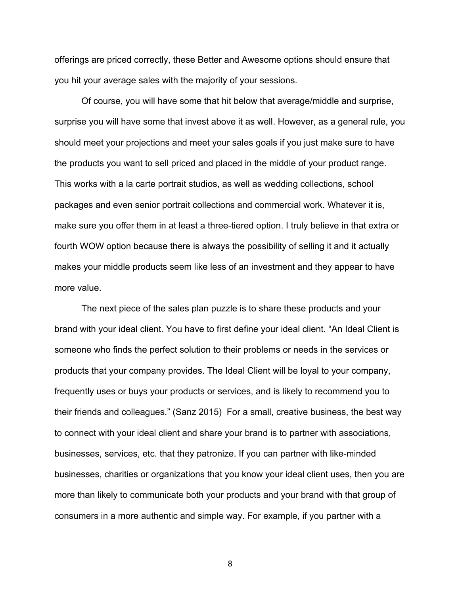offerings are priced correctly, these Better and Awesome options should ensure that you hit your average sales with the majority of your sessions.

Of course, you will have some that hit below that average/middle and surprise, surprise you will have some that invest above it as well. However, as a general rule, you should meet your projections and meet your sales goals if you just make sure to have the products you want to sell priced and placed in the middle of your product range. This works with a la carte portrait studios, as well as wedding collections, school packages and even senior portrait collections and commercial work. Whatever it is, make sure you offer them in at least a three-tiered option. I truly believe in that extra or fourth WOW option because there is always the possibility of selling it and it actually makes your middle products seem like less of an investment and they appear to have more value.

The next piece of the sales plan puzzle is to share these products and your brand with your ideal client. You have to first define your ideal client. "An Ideal Client is someone who finds the perfect solution to their problems or needs in the services or products that your company provides. The Ideal Client will be loyal to your company, frequently uses or buys your products or services, and is likely to recommend you to their friends and colleagues." (Sanz 2015) For a small, creative business, the best way to connect with your ideal client and share your brand is to partner with associations, businesses, services, etc. that they patronize. If you can partner with like-minded businesses, charities or organizations that you know your ideal client uses, then you are more than likely to communicate both your products and your brand with that group of consumers in a more authentic and simple way. For example, if you partner with a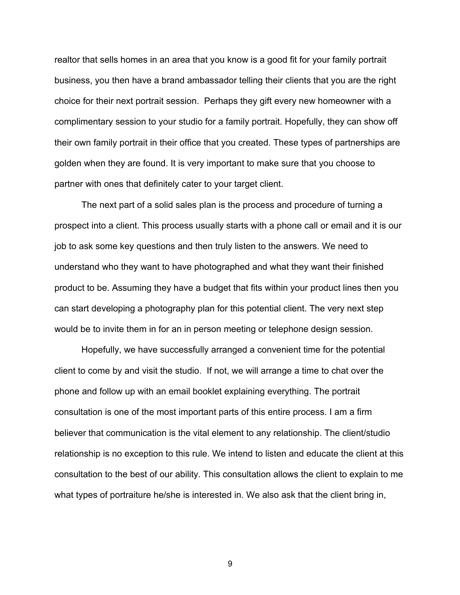realtor that sells homes in an area that you know is a good fit for your family portrait business, you then have a brand ambassador telling their clients that you are the right choice for their next portrait session. Perhaps they gift every new homeowner with a complimentary session to your studio for a family portrait. Hopefully, they can show off their own family portrait in their office that you created. These types of partnerships are golden when they are found. It is very important to make sure that you choose to partner with ones that definitely cater to your target client.

The next part of a solid sales plan is the process and procedure of turning a prospect into a client. This process usually starts with a phone call or email and it is our job to ask some key questions and then truly listen to the answers. We need to understand who they want to have photographed and what they want their finished product to be. Assuming they have a budget that fits within your product lines then you can start developing a photography plan for this potential client. The very next step would be to invite them in for an in person meeting or telephone design session.

Hopefully, we have successfully arranged a convenient time for the potential client to come by and visit the studio. If not, we will arrange a time to chat over the phone and follow up with an email booklet explaining everything. The portrait consultation is one of the most important parts of this entire process. I am a firm believer that communication is the vital element to any relationship. The client/studio relationship is no exception to this rule. We intend to listen and educate the client at this consultation to the best of our ability. This consultation allows the client to explain to me what types of portraiture he/she is interested in. We also ask that the client bring in,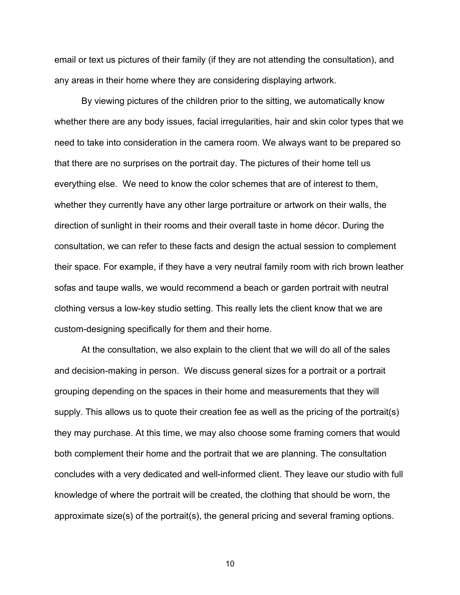email or text us pictures of their family (if they are not attending the consultation), and any areas in their home where they are considering displaying artwork.

By viewing pictures of the children prior to the sitting, we automatically know whether there are any body issues, facial irregularities, hair and skin color types that we need to take into consideration in the camera room. We always want to be prepared so that there are no surprises on the portrait day. The pictures of their home tell us everything else. We need to know the color schemes that are of interest to them, whether they currently have any other large portraiture or artwork on their walls, the direction of sunlight in their rooms and their overall taste in home décor. During the consultation, we can refer to these facts and design the actual session to complement their space. For example, if they have a very neutral family room with rich brown leather sofas and taupe walls, we would recommend a beach or garden portrait with neutral clothing versus a low-key studio setting. This really lets the client know that we are custom-designing specifically for them and their home.

At the consultation, we also explain to the client that we will do all of the sales and decision-making in person. We discuss general sizes for a portrait or a portrait grouping depending on the spaces in their home and measurements that they will supply. This allows us to quote their creation fee as well as the pricing of the portrait(s) they may purchase. At this time, we may also choose some framing corners that would both complement their home and the portrait that we are planning. The consultation concludes with a very dedicated and well-informed client. They leave our studio with full knowledge of where the portrait will be created, the clothing that should be worn, the approximate size(s) of the portrait(s), the general pricing and several framing options.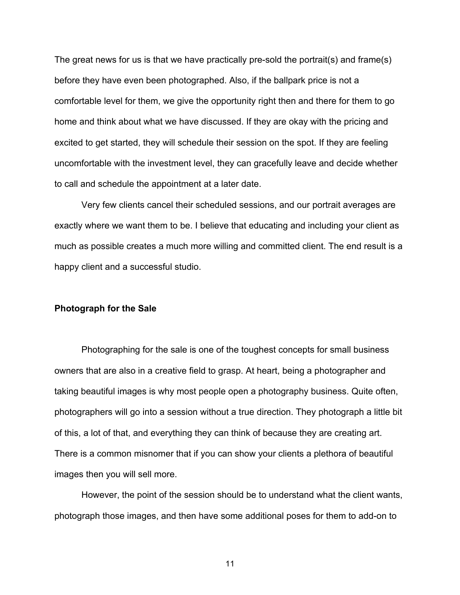The great news for us is that we have practically pre-sold the portrait(s) and frame(s) before they have even been photographed. Also, if the ballpark price is not a comfortable level for them, we give the opportunity right then and there for them to go home and think about what we have discussed. If they are okay with the pricing and excited to get started, they will schedule their session on the spot. If they are feeling uncomfortable with the investment level, they can gracefully leave and decide whether to call and schedule the appointment at a later date.

Very few clients cancel their scheduled sessions, and our portrait averages are exactly where we want them to be. I believe that educating and including your client as much as possible creates a much more willing and committed client. The end result is a happy client and a successful studio.

#### **Photograph for the Sale**

Photographing for the sale is one of the toughest concepts for small business owners that are also in a creative field to grasp. At heart, being a photographer and taking beautiful images is why most people open a photography business. Quite often, photographers will go into a session without a true direction. They photograph a little bit of this, a lot of that, and everything they can think of because they are creating art. There is a common misnomer that if you can show your clients a plethora of beautiful images then you will sell more.

However, the point of the session should be to understand what the client wants, photograph those images, and then have some additional poses for them to add-on to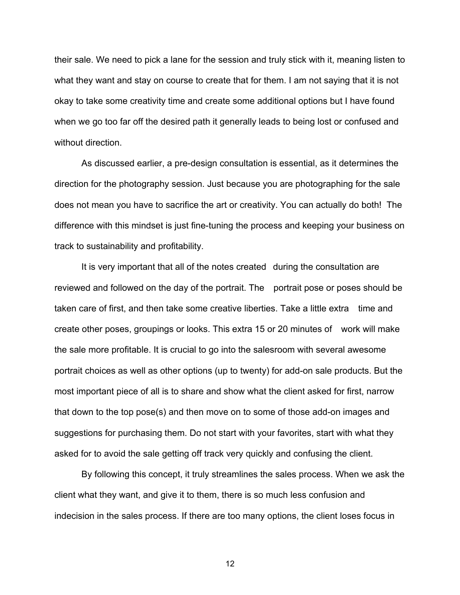their sale. We need to pick a lane for the session and truly stick with it, meaning listen to what they want and stay on course to create that for them. I am not saying that it is not okay to take some creativity time and create some additional options but I have found when we go too far off the desired path it generally leads to being lost or confused and without direction.

As discussed earlier, a pre-design consultation is essential, as it determines the direction for the photography session. Just because you are photographing for the sale does not mean you have to sacrifice the art or creativity. You can actually do both! The difference with this mindset is just fine-tuning the process and keeping your business on track to sustainability and profitability.

It is very important that all of the notes created during the consultation are reviewed and followed on the day of the portrait. The portrait pose or poses should be taken care of first, and then take some creative liberties. Take a little extra time and create other poses, groupings or looks. This extra 15 or 20 minutes of work will make the sale more profitable. It is crucial to go into the salesroom with several awesome portrait choices as well as other options (up to twenty) for add-on sale products. But the most important piece of all is to share and show what the client asked for first, narrow that down to the top pose(s) and then move on to some of those add-on images and suggestions for purchasing them. Do not start with your favorites, start with what they asked for to avoid the sale getting off track very quickly and confusing the client.

By following this concept, it truly streamlines the sales process. When we ask the client what they want, and give it to them, there is so much less confusion and indecision in the sales process. If there are too many options, the client loses focus in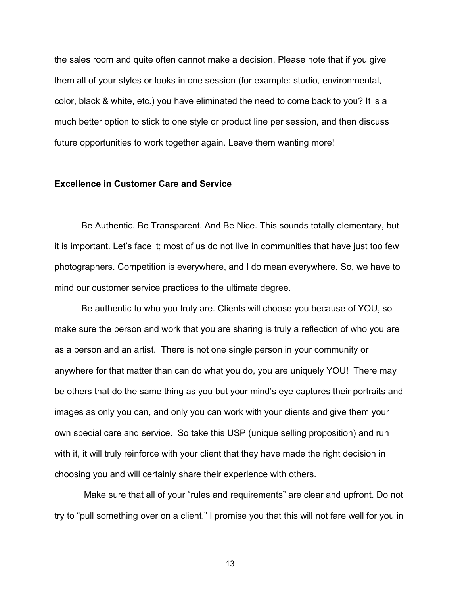the sales room and quite often cannot make a decision. Please note that if you give them all of your styles or looks in one session (for example: studio, environmental, color, black & white, etc.) you have eliminated the need to come back to you? It is a much better option to stick to one style or product line per session, and then discuss future opportunities to work together again. Leave them wanting more!

### **Excellence in Customer Care and Service**

Be Authentic. Be Transparent. And Be Nice. This sounds totally elementary, but it is important. Let's face it; most of us do not live in communities that have just too few photographers. Competition is everywhere, and I do mean everywhere. So, we have to mind our customer service practices to the ultimate degree.

Be authentic to who you truly are. Clients will choose you because of YOU, so make sure the person and work that you are sharing is truly a reflection of who you are as a person and an artist. There is not one single person in your community or anywhere for that matter than can do what you do, you are uniquely YOU! There may be others that do the same thing as you but your mind's eye captures their portraits and images as only you can, and only you can work with your clients and give them your own special care and service. So take this USP (unique selling proposition) and run with it, it will truly reinforce with your client that they have made the right decision in choosing you and will certainly share their experience with others.

Make sure that all of your "rules and requirements" are clear and upfront. Do not try to "pull something over on a client." I promise you that this will not fare well for you in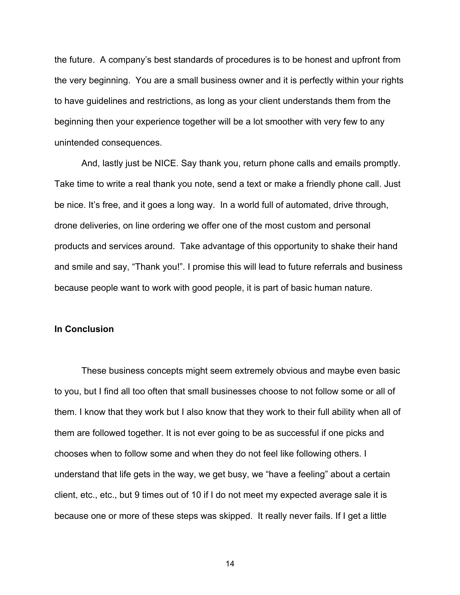the future. A company's best standards of procedures is to be honest and upfront from the very beginning. You are a small business owner and it is perfectly within your rights to have guidelines and restrictions, as long as your client understands them from the beginning then your experience together will be a lot smoother with very few to any unintended consequences.

And, lastly just be NICE. Say thank you, return phone calls and emails promptly. Take time to write a real thank you note, send a text or make a friendly phone call. Just be nice. It's free, and it goes a long way. In a world full of automated, drive through, drone deliveries, on line ordering we offer one of the most custom and personal products and services around. Take advantage of this opportunity to shake their hand and smile and say, "Thank you!". I promise this will lead to future referrals and business because people want to work with good people, it is part of basic human nature.

#### **In Conclusion**

These business concepts might seem extremely obvious and maybe even basic to you, but I find all too often that small businesses choose to not follow some or all of them. I know that they work but I also know that they work to their full ability when all of them are followed together. It is not ever going to be as successful if one picks and chooses when to follow some and when they do not feel like following others. I understand that life gets in the way, we get busy, we "have a feeling" about a certain client, etc., etc., but 9 times out of 10 if I do not meet my expected average sale it is because one or more of these steps was skipped. It really never fails. If I get a little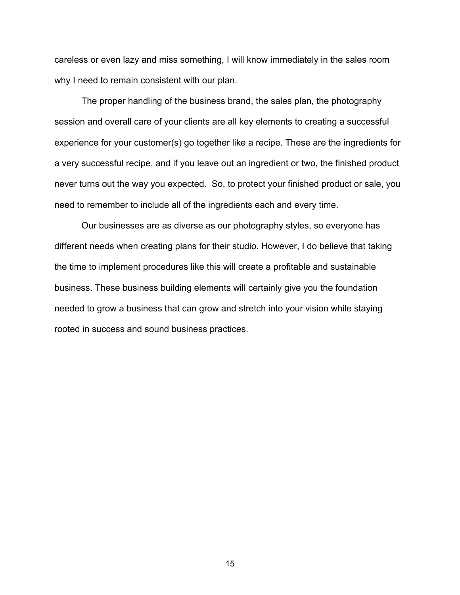careless or even lazy and miss something, I will know immediately in the sales room why I need to remain consistent with our plan.

The proper handling of the business brand, the sales plan, the photography session and overall care of your clients are all key elements to creating a successful experience for your customer(s) go together like a recipe. These are the ingredients for a very successful recipe, and if you leave out an ingredient or two, the finished product never turns out the way you expected. So, to protect your finished product or sale, you need to remember to include all of the ingredients each and every time.

Our businesses are as diverse as our photography styles, so everyone has different needs when creating plans for their studio. However, I do believe that taking the time to implement procedures like this will create a profitable and sustainable business. These business building elements will certainly give you the foundation needed to grow a business that can grow and stretch into your vision while staying rooted in success and sound business practices.